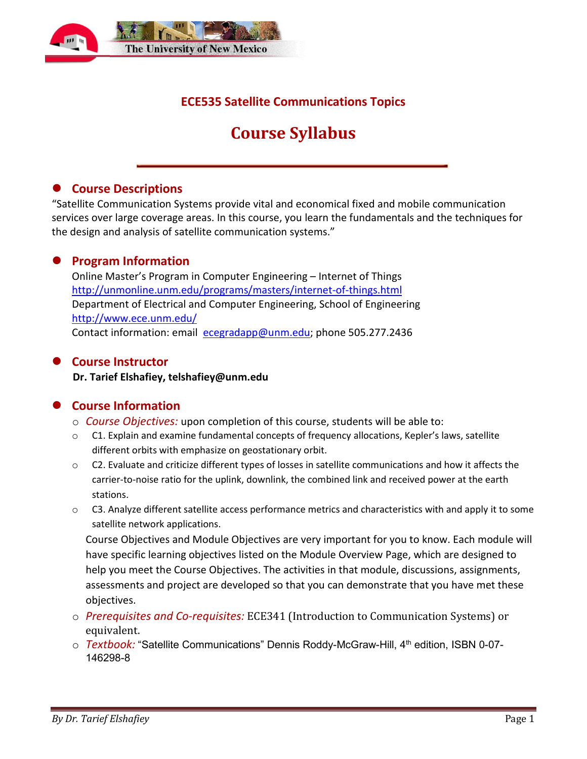

## **ECE535 Satellite Communications Topics**

## **Course Syllabus**

#### **• Course Descriptions**

"Satellite Communication Systems provide vital and economical fixed and mobile communication services over large coverage areas. In this course, you learn the fundamentals and the techniques for the design and analysis of satellite communication systems."

## **Program Information**

Online Master's Program in Computer Engineering – Internet of Things <http://unmonline.unm.edu/programs/masters/internet-of-things.html> Department of Electrical and Computer Engineering, School of Engineering <http://www.ece.unm.edu/> Contact information: email [ecegradapp@unm.edu;](mailto:ecegradapp@unm.edu) phone 505.277.2436

#### **Course Instructor**

**Dr. Tarief Elshafiey, telshafiey@unm.edu**

## **Course Information**

- o *Course Objectives:* upon completion of this course, students will be able to:
- $\circ$  C1. Explain and examine fundamental concepts of frequency allocations, Kepler's laws, satellite different orbits with emphasize on geostationary orbit.
- $\circ$  C2. Evaluate and criticize different types of losses in satellite communications and how it affects the carrier-to-noise ratio for the uplink, downlink, the combined link and received power at the earth stations.
- $\circ$  C3. Analyze different satellite access performance metrics and characteristics with and apply it to some satellite network applications.

Course Objectives and Module Objectives are very important for you to know. Each module will have specific learning objectives listed on the Module Overview Page, which are designed to help you meet the Course Objectives. The activities in that module, discussions, assignments, assessments and project are developed so that you can demonstrate that you have met these objectives.

- o *Prerequisites and Co-requisites:* ECE341 (Introduction to Communication Systems) or equivalent.
- o *Textbook:* "Satellite Communications" Dennis Roddy-McGraw-Hill, 4<sup>th</sup> edition, ISBN 0-07-146298-8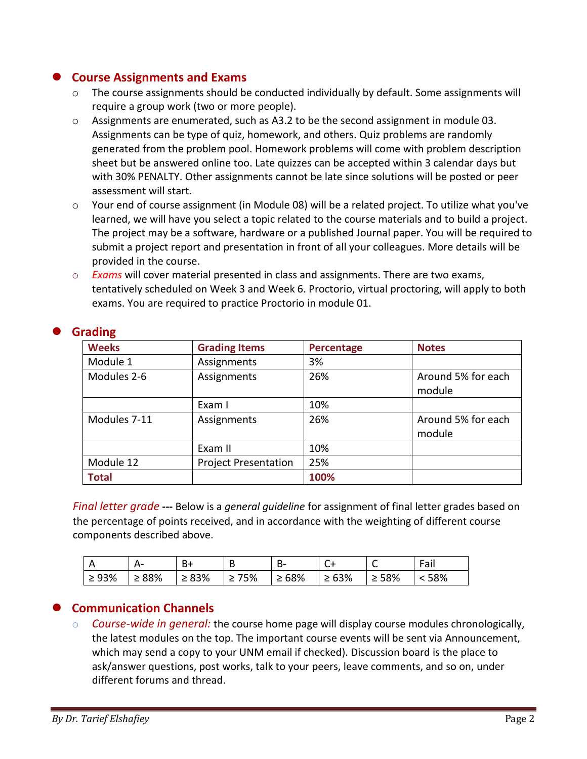## **Course Assignments and Exams**

- o The course assignments should be conducted individually by default. Some assignments will require a group work (two or more people).
- o Assignments are enumerated, such as A3.2 to be the second assignment in module 03. Assignments can be type of quiz, homework, and others. Quiz problems are randomly generated from the problem pool. Homework problems will come with problem description sheet but be answered online too. Late quizzes can be accepted within 3 calendar days but with 30% PENALTY. Other assignments cannot be late since solutions will be posted or peer assessment will start.
- o Your end of course assignment (in Module 08) will be a related project. To utilize what you've learned, we will have you select a topic related to the course materials and to build a project. The project may be a software, hardware or a published Journal paper. You will be required to submit a project report and presentation in front of all your colleagues. More details will be provided in the course.
- o *Exams* will cover material presented in class and assignments. There are two exams, tentatively scheduled on Week 3 and Week 6. Proctorio, virtual proctoring, will apply to both exams. You are required to practice Proctorio in module 01.

| <b>Weeks</b> | <b>Grading Items</b>        | Percentage | <b>Notes</b>                 |
|--------------|-----------------------------|------------|------------------------------|
| Module 1     | Assignments                 | 3%         |                              |
| Modules 2-6  | Assignments                 | 26%        | Around 5% for each<br>module |
|              | Exam I                      | 10%        |                              |
| Modules 7-11 | Assignments                 | 26%        | Around 5% for each<br>module |
|              | Exam II                     | 10%        |                              |
| Module 12    | <b>Project Presentation</b> | 25%        |                              |
| <b>Total</b> |                             | 100%       |                              |

## **Grading**

*Final letter grade* **---** Below is a *general guideline* for assignment of final letter grades based on the percentage of points received, and in accordance with the weighting of different course components described above.

|             |             | В+       |     | --  | ◡          |          | Fail |
|-------------|-------------|----------|-----|-----|------------|----------|------|
| $\geq 93\%$ | $\geq 88\%$ | 83%<br>∠ | 75% | 68% | $\ge 63\%$ | 58%<br>⋍ | 58%  |

## **Communication Channels**

o *Course-wide in general:* the course home page will display course modules chronologically, the latest modules on the top. The important course events will be sent via Announcement, which may send a copy to your UNM email if checked). Discussion board is the place to ask/answer questions, post works, talk to your peers, leave comments, and so on, under different forums and thread.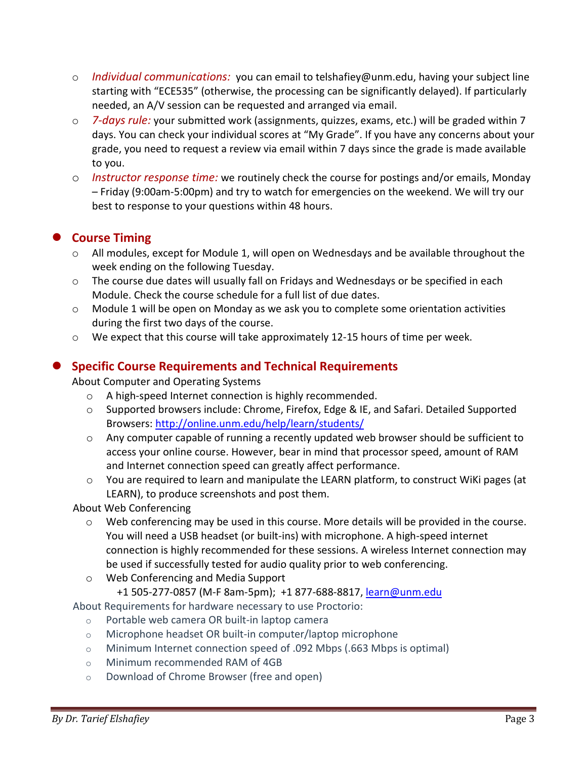- o *Individual communications:* you can email to telshafiey@unm.edu, having your subject line starting with "ECE535" (otherwise, the processing can be significantly delayed). If particularly needed, an A/V session can be requested and arranged via email.
- o *7-days rule:* your submitted work (assignments, quizzes, exams, etc.) will be graded within 7 days. You can check your individual scores at "My Grade". If you have any concerns about your grade, you need to request a review via email within 7 days since the grade is made available to you.
- o *Instructor response time:* we routinely check the course for postings and/or emails, Monday – Friday (9:00am-5:00pm) and try to watch for emergencies on the weekend. We will try our best to response to your questions within 48 hours.

## **Course Timing**

- o All modules, except for Module 1, will open on Wednesdays and be available throughout the week ending on the following Tuesday.
- $\circ$  The course due dates will usually fall on Fridays and Wednesdays or be specified in each Module. Check the course schedule for a full list of due dates.
- $\circ$  Module 1 will be open on Monday as we ask you to complete some orientation activities during the first two days of the course.
- o We expect that this course will take approximately 12-15 hours of time per week.

## **Specific Course Requirements and Technical Requirements**

About Computer and Operating Systems

- o A high-speed Internet connection is highly recommended.
- o Supported browsers include: Chrome, Firefox, Edge & IE, and Safari. Detailed Supported Browsers:<http://online.unm.edu/help/learn/students/>
- $\circ$  Any computer capable of running a recently updated web browser should be sufficient to access your online course. However, bear in mind that processor speed, amount of RAM and Internet connection speed can greatly affect performance.
- $\circ$  You are required to learn and manipulate the LEARN platform, to construct WiKi pages (at LEARN), to produce screenshots and post them.

#### About Web Conferencing

- o Web conferencing may be used in this course. More details will be provided in the course. You will need a USB headset (or built-ins) with microphone. A high-speed internet connection is highly recommended for these sessions. A wireless Internet connection may be used if successfully tested for audio quality prior to web conferencing.
- o Web Conferencing and Media Support
	- +1 505-277-0857 (M-F 8am-5pm); +1 877-688-8817, [learn@unm.edu](mailto:learn@unm.edu)

About Requirements for hardware necessary to use Proctorio:

- o Portable web camera OR built-in laptop camera
- o Microphone headset OR built-in computer/laptop microphone
- o Minimum Internet connection speed of .092 Mbps (.663 Mbps is optimal)
- o Minimum recommended RAM of 4GB
- o Download of Chrome Browser (free and open)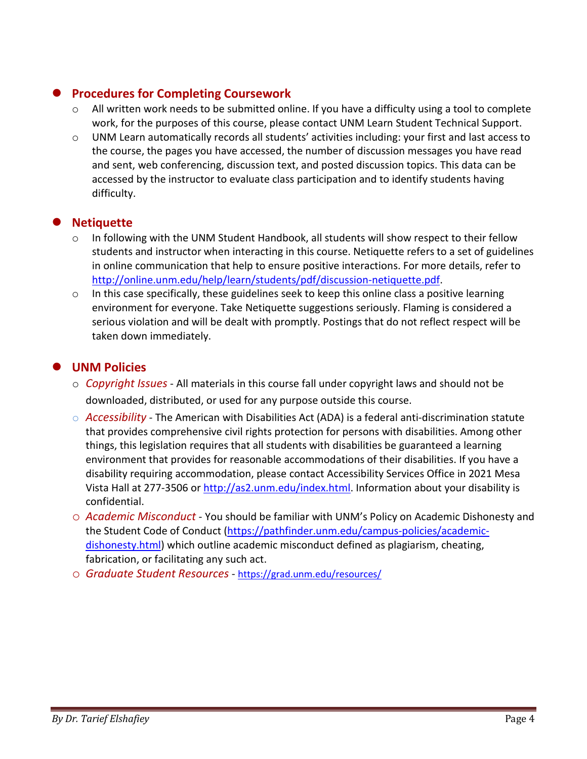## **Procedures for Completing Coursework**

- o All written work needs to be submitted online. If you have a difficulty using a tool to complete work, for the purposes of this course, please contact UNM Learn Student Technical Support.
- o UNM Learn automatically records all students' activities including: your first and last access to the course, the pages you have accessed, the number of discussion messages you have read and sent, web conferencing, discussion text, and posted discussion topics. This data can be accessed by the instructor to evaluate class participation and to identify students having difficulty.

## **Netiquette**

- $\circ$  In following with the UNM Student Handbook, all students will show respect to their fellow students and instructor when interacting in this course. Netiquette refers to a set of guidelines in online communication that help to ensure positive interactions. For more details, refer to [http://online.unm.edu/help/learn/students/pdf/discussion-netiquette.pdf.](http://online.unm.edu/help/learn/students/pdf/discussion-netiquette.pdf)
- o In this case specifically, these guidelines seek to keep this online class a positive learning environment for everyone. Take Netiquette suggestions seriously. Flaming is considered a serious violation and will be dealt with promptly. Postings that do not reflect respect will be taken down immediately.

## **UNM Policies**

- o *Copyright Issues* All materials in this course fall under copyright laws and should not be downloaded, distributed, or used for any purpose outside this course.
- o *Accessibility* The American with Disabilities Act (ADA) is a federal anti-discrimination statute that provides comprehensive civil rights protection for persons with disabilities. Among other things, this legislation requires that all students with disabilities be guaranteed a learning environment that provides for reasonable accommodations of their disabilities. If you have a disability requiring accommodation, please contact Accessibility Services Office in 2021 Mesa Vista Hall at 277-3506 or [http://as2.unm.edu/index.html.](http://as2.unm.edu/index.html) Information about your disability is confidential.
- o *Academic Misconduct*  You should be familiar with UNM's Policy on Academic Dishonesty and the Student Code of Conduct [\(https://pathfinder.unm.edu/campus-policies/academic](https://pathfinder.unm.edu/campus-policies/academic-dishonesty.html)[dishonesty.html\)](https://pathfinder.unm.edu/campus-policies/academic-dishonesty.html) which outline academic misconduct defined as plagiarism, cheating, fabrication, or facilitating any such act.
- o *Graduate Student Resources*  <https://grad.unm.edu/resources/>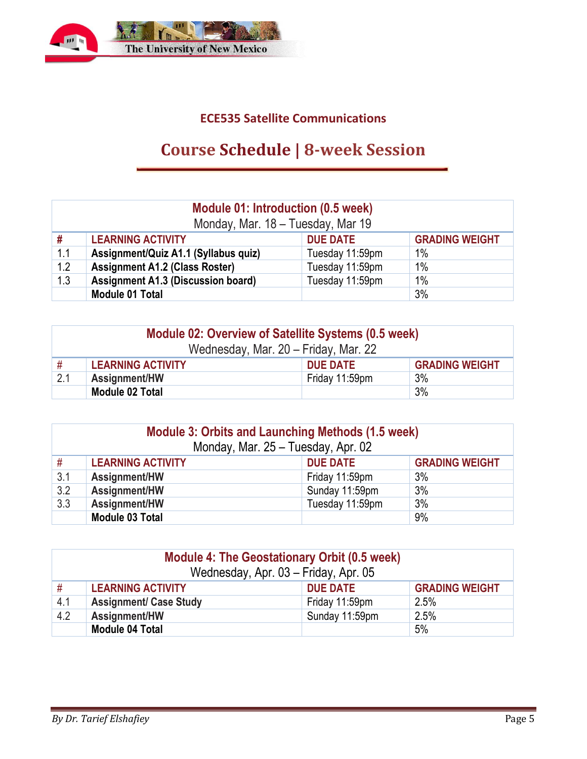

## **ECE535 Satellite Communications**

# **Course Schedule | 8-week Session**

| <b>Module 01: Introduction (0.5 week)</b><br>Monday, Mar. 18 - Tuesday, Mar 19 |                                                                      |                 |    |  |  |
|--------------------------------------------------------------------------------|----------------------------------------------------------------------|-----------------|----|--|--|
| #                                                                              | <b>LEARNING ACTIVITY</b><br><b>GRADING WEIGHT</b><br><b>DUE DATE</b> |                 |    |  |  |
| 1.1                                                                            | Assignment/Quiz A1.1 (Syllabus quiz)                                 | Tuesday 11:59pm | 1% |  |  |
| 1.2                                                                            | <b>Assignment A1.2 (Class Roster)</b>                                | Tuesday 11:59pm | 1% |  |  |
| 1.3                                                                            | <b>Assignment A1.3 (Discussion board)</b>                            | Tuesday 11:59pm | 1% |  |  |
|                                                                                | <b>Module 01 Total</b>                                               |                 | 3% |  |  |

| Module 02: Overview of Satellite Systems (0.5 week)<br>Wednesday, Mar. 20 - Friday, Mar. 22 |                          |                 |                       |  |
|---------------------------------------------------------------------------------------------|--------------------------|-----------------|-----------------------|--|
| #                                                                                           | <b>LEARNING ACTIVITY</b> | <b>DUE DATE</b> | <b>GRADING WEIGHT</b> |  |
| 2.1                                                                                         | Assignment/HW            | Friday 11:59pm  | 3%                    |  |
|                                                                                             | Module 02 Total          |                 | 3%                    |  |

| Module 3: Orbits and Launching Methods (1.5 week)<br>Monday, Mar. 25 - Tuesday, Apr. 02 |                                                                      |                |    |  |  |
|-----------------------------------------------------------------------------------------|----------------------------------------------------------------------|----------------|----|--|--|
| #                                                                                       | <b>DUE DATE</b><br><b>GRADING WEIGHT</b><br><b>LEARNING ACTIVITY</b> |                |    |  |  |
| 3.1                                                                                     | Assignment/HW                                                        | Friday 11:59pm | 3% |  |  |
| 3.2                                                                                     | Assignment/HW                                                        | Sunday 11:59pm | 3% |  |  |
| 3.3                                                                                     | 3%<br>Assignment/HW<br>Tuesday 11:59pm                               |                |    |  |  |
|                                                                                         | Module 03 Total                                                      |                | 9% |  |  |

| <b>Module 4: The Geostationary Orbit (0.5 week)</b><br>Wednesday, Apr. 03 - Friday, Apr. 05 |                                                                      |                |      |  |  |
|---------------------------------------------------------------------------------------------|----------------------------------------------------------------------|----------------|------|--|--|
| #                                                                                           | <b>GRADING WEIGHT</b><br><b>LEARNING ACTIVITY</b><br><b>DUE DATE</b> |                |      |  |  |
| 4.1                                                                                         | <b>Assignment/ Case Study</b>                                        | Friday 11:59pm | 2.5% |  |  |
| 4.2                                                                                         | Assignment/HW                                                        | Sunday 11:59pm | 2.5% |  |  |
|                                                                                             | <b>Module 04 Total</b>                                               |                | 5%   |  |  |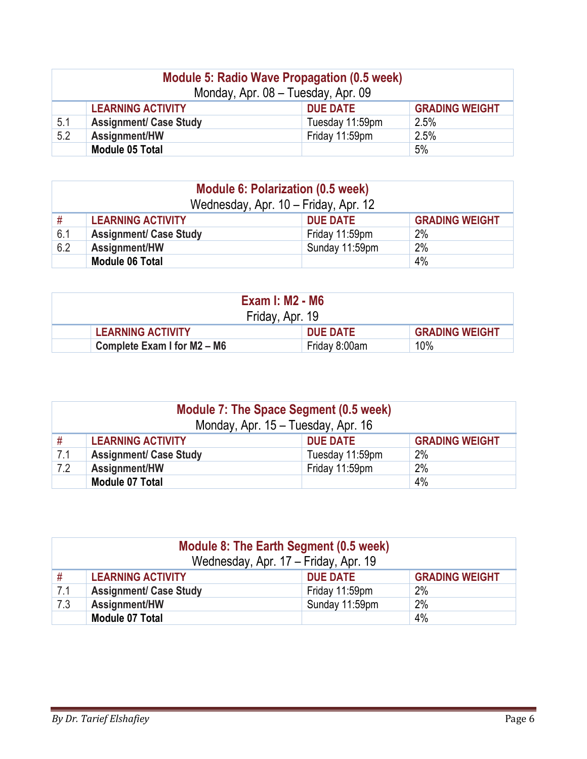| <b>Module 5: Radio Wave Propagation (0.5 week)</b><br>Monday, Apr. 08 - Tuesday, Apr. 09 |                                                                      |                 |      |  |  |
|------------------------------------------------------------------------------------------|----------------------------------------------------------------------|-----------------|------|--|--|
|                                                                                          | <b>GRADING WEIGHT</b><br><b>LEARNING ACTIVITY</b><br><b>DUE DATE</b> |                 |      |  |  |
| 5.1                                                                                      | <b>Assignment/ Case Study</b>                                        | Tuesday 11:59pm | 2.5% |  |  |
| 5.2                                                                                      | Assignment/HW                                                        | Friday 11:59pm  | 2.5% |  |  |
|                                                                                          | <b>Module 05 Total</b>                                               |                 | 5%   |  |  |

| <b>Module 6: Polarization (0.5 week)</b><br>Wednesday, Apr. 10 - Friday, Apr. 12 |                                       |                 |                       |  |  |
|----------------------------------------------------------------------------------|---------------------------------------|-----------------|-----------------------|--|--|
| #                                                                                | <b>LEARNING ACTIVITY</b>              | <b>DUE DATE</b> | <b>GRADING WEIGHT</b> |  |  |
| 6.1                                                                              | <b>Assignment/ Case Study</b>         | Friday 11:59pm  | 2%                    |  |  |
| 6.2                                                                              | 2%<br>Assignment/HW<br>Sunday 11:59pm |                 |                       |  |  |
|                                                                                  | 4%<br><b>Module 06 Total</b>          |                 |                       |  |  |

| <b>Exam I: M2 - M6</b><br>Friday, Apr. 19 |                 |                       |  |  |
|-------------------------------------------|-----------------|-----------------------|--|--|
| <b>LEARNING ACTIVITY</b>                  | <b>DUE DATE</b> | <b>GRADING WEIGHT</b> |  |  |
| Complete Exam I for M2 - M6               | Friday 8:00am   | 10%                   |  |  |

| Module 7: The Space Segment (0.5 week)<br>Monday, Apr. 15 - Tuesday, Apr. 16 |                                                                      |                 |    |  |  |  |
|------------------------------------------------------------------------------|----------------------------------------------------------------------|-----------------|----|--|--|--|
| #                                                                            | <b>LEARNING ACTIVITY</b><br><b>GRADING WEIGHT</b><br><b>DUE DATE</b> |                 |    |  |  |  |
| 7.1                                                                          | <b>Assignment/ Case Study</b>                                        | Tuesday 11:59pm | 2% |  |  |  |
| 7.2                                                                          | 2%<br>Friday 11:59pm<br>Assignment/HW                                |                 |    |  |  |  |
|                                                                              | 4%<br>Module 07 Total                                                |                 |    |  |  |  |

| Module 8: The Earth Segment (0.5 week)<br>Wednesday, Apr. 17 - Friday, Apr. 19 |                                       |                 |                       |  |  |
|--------------------------------------------------------------------------------|---------------------------------------|-----------------|-----------------------|--|--|
| #                                                                              | <b>LEARNING ACTIVITY</b>              | <b>DUE DATE</b> | <b>GRADING WEIGHT</b> |  |  |
| 7.1                                                                            | <b>Assignment/ Case Study</b>         | Friday 11:59pm  | 2%                    |  |  |
| 7.3                                                                            | 2%<br>Sunday 11:59pm<br>Assignment/HW |                 |                       |  |  |
|                                                                                | <b>Module 07 Total</b>                |                 | 4%                    |  |  |